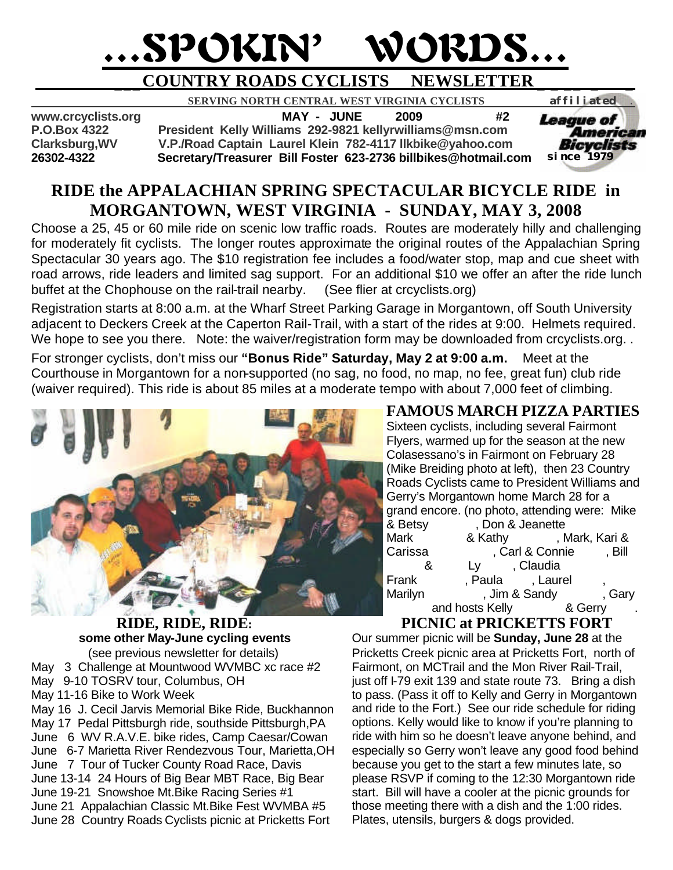# …SPOKIN' WORDS…

### **\_\_\_COUNTRY ROADS CYCLISTS NEWSLETTER \_ \_ \_\_ \_ \_**

 **SERVING NORTH CENTRAL WEST VIRGINIA CYCLISTS** *affiliated .* 

**www.crcyclists.org MAY - JUNE 2009 #2 P.O.Box 4322 President Kelly Williams 292-9821 kellyrwilliams@msn.com Clarksburg,WV V.P./Road Captain Laurel Klein 782-4117 llkbike@yahoo.com**

**26302-4322 Secretary/Treasurer Bill Foster 623-2736 billbikes@hotmail.com** 



#### **RIDE the APPALACHIAN SPRING SPECTACULAR BICYCLE RIDE in MORGANTOWN, WEST VIRGINIA - SUNDAY, MAY 3, 2008**

Choose a 25, 45 or 60 mile ride on scenic low traffic roads. Routes are moderately hilly and challenging for moderately fit cyclists. The longer routes approximate the original routes of the Appalachian Spring Spectacular 30 years ago. The \$10 registration fee includes a food/water stop, map and cue sheet with road arrows, ride leaders and limited sag support. For an additional \$10 we offer an after the ride lunch buffet at the Chophouse on the rail-trail nearby. (See flier at crcyclists.org)

Registration starts at 8:00 a.m. at the Wharf Street Parking Garage in Morgantown, off South University adjacent to Deckers Creek at the Caperton Rail-Trail, with a start of the rides at 9:00. Helmets required. We hope to see you there. Note: the waiver/registration form may be downloaded from crcyclists.org..

For stronger cyclists, don't miss our **"Bonus Ride" Saturday, May 2 at 9:00 a.m.** Meet at the Courthouse in Morgantown for a non-supported (no sag, no food, no map, no fee, great fun) club ride (waiver required). This ride is about 85 miles at a moderate tempo with about 7,000 feet of climbing.



**RIDE, RIDE, RIDE: some other May-June cycling events** (see previous newsletter for details) May 3 Challenge at Mountwood WVMBC xc race #2 May 9-10 TOSRV tour, Columbus, OH May 11-16 Bike to Work Week May 16 J. Cecil Jarvis Memorial Bike Ride, Buckhannon May 17 Pedal Pittsburgh ride, southside Pittsburgh,PA June 6 WV R.A.V.E. bike rides, Camp Caesar/Cowan June 6-7 Marietta River Rendezvous Tour, Marietta,OH June 7 Tour of Tucker County Road Race, Davis June 13-14 24 Hours of Big Bear MBT Race, Big Bear June 19-21 Snowshoe Mt.Bike Racing Series #1 June 21 Appalachian Classic Mt.Bike Fest WVMBA #5 June 28 Country Roads Cyclists picnic at Pricketts Fort

#### **FAMOUS MARCH PIZZA PARTIES**

Sixteen cyclists, including several Fairmont Flyers, warmed up for the season at the new Colasessano's in Fairmont on February 28 (Mike Breiding photo at left), then 23 Country Roads Cyclists came to President Williams and Gerry's Morgantown home March 28 for a grand encore. (no photo, attending were: Mike & Betsy Floon & Jeanette Mark 8 Kathy Fletcher, Mark, Kari & Carissa (Carl & Connie Carl Bill 8. Ly Claudia Frank Frank, Paula Hunt, Laurel Marilyn Jim & Sandy Gary and hosts Kelly 8. Gerry

#### **PICNIC at PRICKETTS FORT**

Our summer picnic will be **Sunday, June 28** at the Pricketts Creek picnic area at Pricketts Fort, north of Fairmont, on MCTrail and the Mon River Rail-Trail, just off I-79 exit 139 and state route 73. Bring a dish to pass. (Pass it off to Kelly and Gerry in Morgantown and ride to the Fort.) See our ride schedule for riding options. Kelly would like to know if you're planning to ride with him so he doesn't leave anyone behind, and especially so Gerry won't leave any good food behind because you get to the start a few minutes late, so please RSVP if coming to the 12:30 Morgantown ride start. Bill will have a cooler at the picnic grounds for those meeting there with a dish and the 1:00 rides. Plates, utensils, burgers & dogs provided.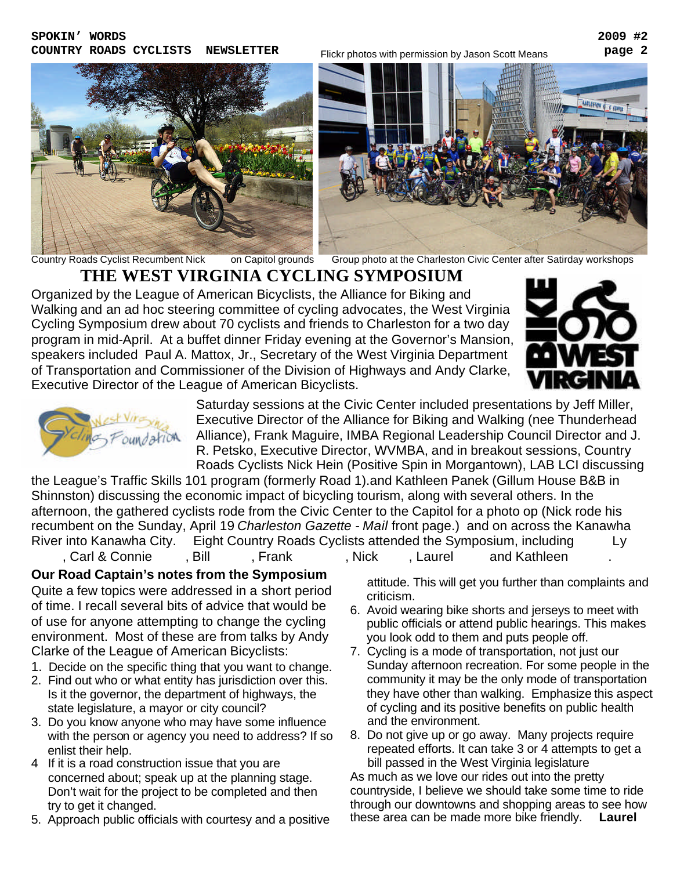

COUNTRY ROADS CYCLISTS NEWSLETTER Flickr photos with permission by Jason Scott Means **Page 2** 



Country Roads Cyclist Recumbent Nick on Capitol grounds Group photo at the Charleston Civic Center after Satirday workshops

## **THE WEST VIRGINIA CYCLING SYMPOSIUM**

Organized by the League of American Bicyclists, the Alliance for Biking and Walking and an ad hoc steering committee of cycling advocates, the West Virginia Cycling Symposium drew about 70 cyclists and friends to Charleston for a two day program in mid-April. At a buffet dinner Friday evening at the Governor's Mansion, speakers included Paul A. Mattox, Jr., Secretary of the West Virginia Department of Transportation and Commissioner of the Division of Highways and Andy Clarke, Executive Director of the League of American Bicyclists.





Saturday sessions at the Civic Center included presentations by Jeff Miller, Executive Director of the Alliance for Biking and Walking (nee Thunderhead Alliance), Frank Maguire, IMBA Regional Leadership Council Director and J. R. Petsko, Executive Director, WVMBA, and in breakout sessions, Country Roads Cyclists Nick Hein (Positive Spin in Morgantown), LAB LCI discussing

the League's Traffic Skills 101 program (formerly Road 1).and Kathleen Panek (Gillum House B&B in Shinnston) discussing the economic impact of bicycling tourism, along with several others. In the afternoon, the gathered cyclists rode from the Civic Center to the Capitol for a photo op (Nick rode his recumbent on the Sunday, April 19 *Charleston Gazette - Mail* front page.) and on across the Kanawha River into Kanawha City. Eight Country Roads Cyclists attended the Symposium, including Ly

, Carl & Connie Frank Frank Hein, Nick Hein, Laurel and Kathleen

**Our Road Captain's notes from the Symposium** Quite a few topics were addressed in a short period of time. I recall several bits of advice that would be of use for anyone attempting to change the cycling environment. Most of these are from talks by Andy Clarke of the League of American Bicyclists:

- 1. Decide on the specific thing that you want to change.
- 2. Find out who or what entity has jurisdiction over this. Is it the governor, the department of highways, the state legislature, a mayor or city council?
- 3. Do you know anyone who may have some influence with the person or agency you need to address? If so enlist their help.
- 4 If it is a road construction issue that you are concerned about; speak up at the planning stage. Don't wait for the project to be completed and then try to get it changed.
- 5. Approach public officials with courtesy and a positive

 attitude. This will get you further than complaints and criticism.

- 6. Avoid wearing bike shorts and jerseys to meet with public officials or attend public hearings. This makes you look odd to them and puts people off.
- 7. Cycling is a mode of transportation, not just our Sunday afternoon recreation. For some people in the community it may be the only mode of transportation they have other than walking. Emphasize this aspect of cycling and its positive benefits on public health and the environment.
- 8. Do not give up or go away. Many projects require repeated efforts. It can take 3 or 4 attempts to get a bill passed in the West Virginia legislature

As much as we love our rides out into the pretty countryside, I believe we should take some time to ride through our downtowns and shopping areas to see how these area can be made more bike friendly. **Laurel**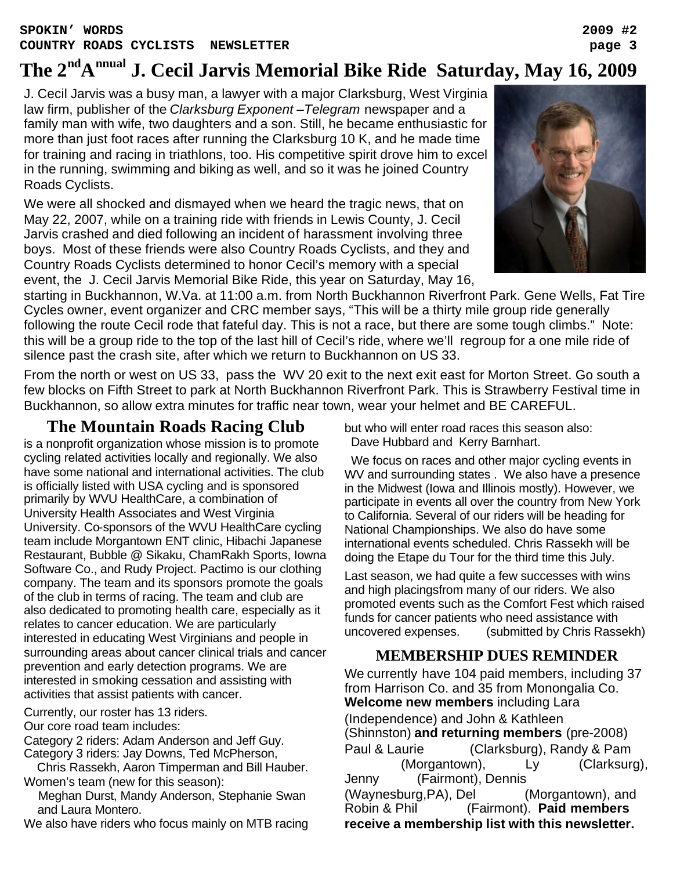## **The 2ndA nnual J. Cecil Jarvis Memorial Bike Ride Saturday, May 16, 2009**

J. Cecil Jarvis was a busy man, a lawyer with a major Clarksburg, West Virginia law firm, publisher of the *Clarksburg Exponent –Telegram* newspaper and a family man with wife, two daughters and a son. Still, he became enthusiastic for more than just foot races after running the Clarksburg 10 K, and he made time for training and racing in triathlons, too. His competitive spirit drove him to excel in the running, swimming and biking as well, and so it was he joined Country Roads Cyclists.

We were all shocked and dismayed when we heard the tragic news, that on May 22, 2007, while on a training ride with friends in Lewis County, J. Cecil Jarvis crashed and died following an incident of harassment involving three boys. Most of these friends were also Country Roads Cyclists, and they and Country Roads Cyclists determined to honor Cecil's memory with a special event, the J. Cecil Jarvis Memorial Bike Ride, this year on Saturday, May 16,



starting in Buckhannon, W.Va. at 11:00 a.m. from North Buckhannon Riverfront Park. Gene Wells, Fat Tire Cycles owner, event organizer and CRC member says, "This will be a thirty mile group ride generally following the route Cecil rode that fateful day. This is not a race, but there are some tough climbs." Note: this will be a group ride to the top of the last hill of Cecil's ride, where we'll regroup for a one mile ride of silence past the crash site, after which we return to Buckhannon on US 33.

From the north or west on US 33, pass the WV 20 exit to the next exit east for Morton Street. Go south a few blocks on Fifth Street to park at North Buckhannon Riverfront Park. This is Strawberry Festival time in Buckhannon, so allow extra minutes for traffic near town, wear your helmet and BE CAREFUL.

#### **The Mountain Roads Racing Club**

is a nonprofit organization whose mission is to promote cycling related activities locally and regionally. We also have some national and international activities. The club is officially listed with USA cycling and is sponsored primarily by WVU HealthCare, a combination of University Health Associates and West Virginia University. Co-sponsors of the WVU HealthCare cycling team include Morgantown ENT clinic, Hibachi Japanese Restaurant, Bubble @ Sikaku, ChamRakh Sports, Iowna Software Co., and Rudy Project. Pactimo is our clothing company. The team and its sponsors promote the goals of the club in terms of racing. The team and club are also dedicated to promoting health care, especially as it relates to cancer education. We are particularly interested in educating West Virginians and people in surrounding areas about cancer clinical trials and cancer prevention and early detection programs. We are interested in smoking cessation and assisting with activities that assist patients with cancer.

Currently, our roster has 13 riders.

Our core road team includes:

Category 2 riders: Adam Anderson and Jeff Guy. Category 3 riders: Jay Downs, Ted McPherson,

 Chris Rassekh, Aaron Timperman and Bill Hauber. Women's team (new for this season):

 Meghan Durst, Mandy Anderson, Stephanie Swan and Laura Montero.

We also have riders who focus mainly on MTB racing

but who will enter road races this season also: Dave Hubbard and Kerry Barnhart.

 We focus on races and other major cycling events in WV and surrounding states . We also have a presence in the Midwest (Iowa and Illinois mostly). However, we participate in events all over the country from New York to California. Several of our riders will be heading for National Championships. We also do have some international events scheduled. Chris Rassekh will be doing the Etape du Tour for the third time this July.

Last season, we had quite a few successes with wins and high placingsfrom many of our riders. We also promoted events such as the Comfort Fest which raised funds for cancer patients who need assistance with uncovered expenses. (submitted by Chris Rassekh)

#### **MEMBERSHIP DUES REMINDER**

We currently have 104 paid members, including 37 from Harrison Co. and 35 from Monongalia Co. **Welcome new members** including Lara (Independence) and John & Kathleen (Shinnston) **and returning members** (pre-2008) Paul & Laurie (Clarksburg), Randy & Pam  $(Morqantown),$  Ly  $(Clarksurg),$ Jenny (Fairmont), Dennis (Waynesburg,PA), Del (Morgantown), and<br>Robin & Phil (Fairmont). Paid members (Fairmont). Paid members **receive a membership list with this newsletter.**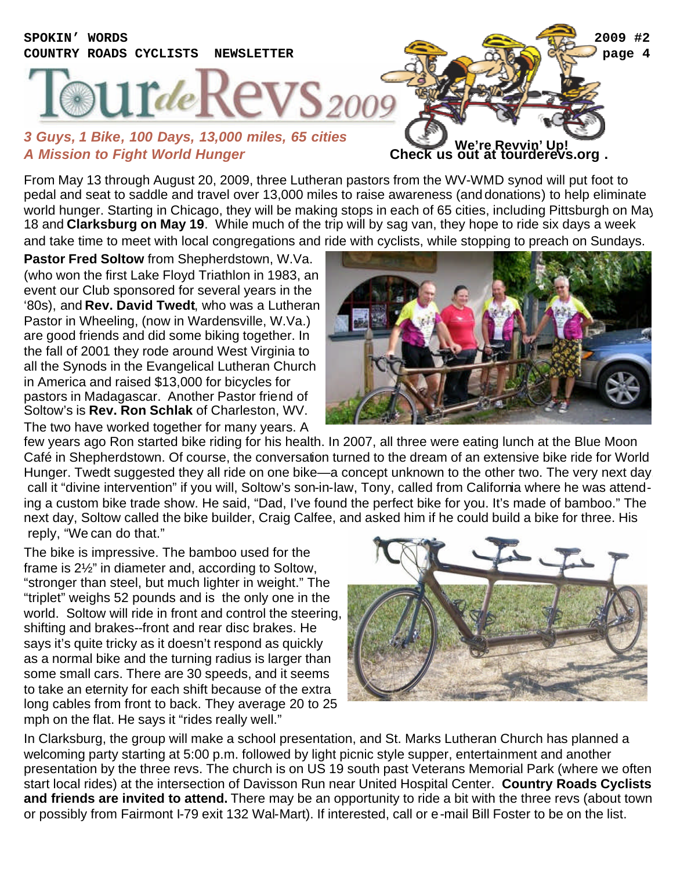## **SPOKIN' WORDS 2009 #2 COUNTRY ROADS CYCLISTS NEWSLETTER page 4**  $1$ Tde 2009 *3 Guys, 1 Bike, 100 Days, 13,000 miles, 65 cities*

## *A Mission to Fight World Hunger* **Check us out at tourderevs.org . We're Revvin' Up!**

From May 13 through August 20, 2009, three Lutheran pastors from the WV-WMD synod will put foot to pedal and seat to saddle and travel over 13,000 miles to raise awareness (and donations) to help eliminate world hunger. Starting in Chicago, they will be making stops in each of 65 cities, including Pittsburgh on May 18 and **Clarksburg on May 19**. While much of the trip will by sag van, they hope to ride six days a week and take time to meet with local congregations and ride with cyclists, while stopping to preach on Sundays.

**Pastor Fred Soltow** from Shepherdstown, W.Va. (who won the first Lake Floyd Triathlon in 1983, an event our Club sponsored for several years in the '80s), and **Rev. David Twedt**, who was a Lutheran Pastor in Wheeling, (now in Wardensville, W.Va.) are good friends and did some biking together. In the fall of 2001 they rode around West Virginia to all the Synods in the Evangelical Lutheran Church in America and raised \$13,000 for bicycles for pastors in Madagascar. Another Pastor friend of Soltow's is **Rev. Ron Schlak** of Charleston, WV. The two have worked together for many years. A



few years ago Ron started bike riding for his health. In 2007, all three were eating lunch at the Blue Moon Café in Shepherdstown. Of course, the conversation turned to the dream of an extensive bike ride for World Hunger. Twedt suggested they all ride on one bike—a concept unknown to the other two. The very next day call it "divine intervention" if you will, Soltow's son-in-law, Tony, called from California where he was attending a custom bike trade show. He said, "Dad, I've found the perfect bike for you. It's made of bamboo." The next day, Soltow called the bike builder, Craig Calfee, and asked him if he could build a bike for three. His reply, "We can do that."

The bike is impressive. The bamboo used for the frame is 2½" in diameter and, according to Soltow, "stronger than steel, but much lighter in weight." The "triplet" weighs 52 pounds and is the only one in the world. Soltow will ride in front and control the steering, shifting and brakes--front and rear disc brakes. He says it's quite tricky as it doesn't respond as quickly as a normal bike and the turning radius is larger than some small cars. There are 30 speeds, and it seems to take an eternity for each shift because of the extra long cables from front to back. They average 20 to 25 mph on the flat. He says it "rides really well."



In Clarksburg, the group will make a school presentation, and St. Marks Lutheran Church has planned a welcoming party starting at 5:00 p.m. followed by light picnic style supper, entertainment and another presentation by the three revs. The church is on US 19 south past Veterans Memorial Park (where we often start local rides) at the intersection of Davisson Run near United Hospital Center. **Country Roads Cyclists and friends are invited to attend.** There may be an opportunity to ride a bit with the three revs (about town or possibly from Fairmont I-79 exit 132 Wal-Mart). If interested, call or e-mail Bill Foster to be on the list.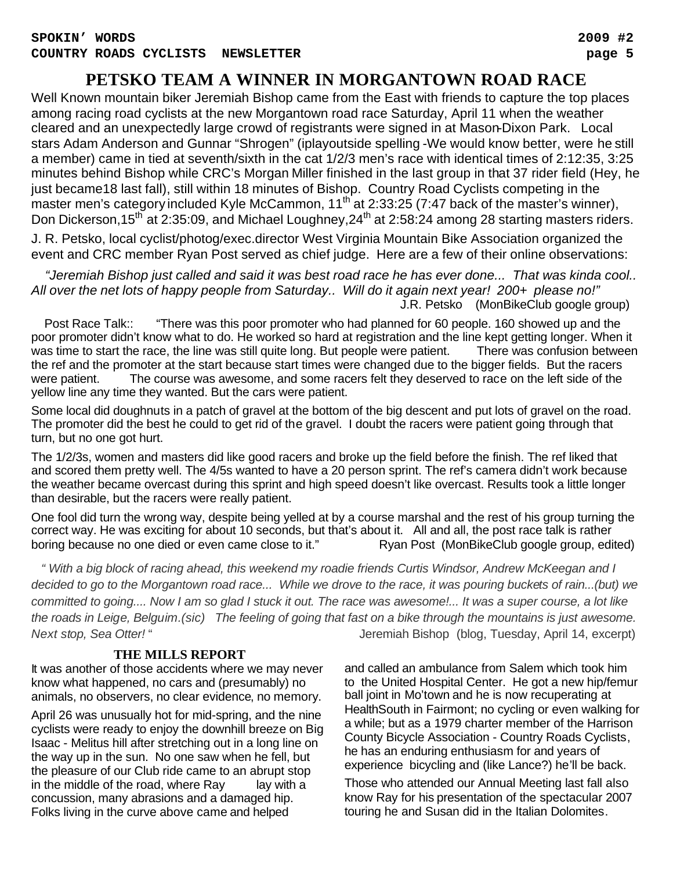#### **PETSKO TEAM A WINNER IN MORGANTOWN ROAD RACE**

Well Known mountain biker Jeremiah Bishop came from the East with friends to capture the top places among racing road cyclists at the new Morgantown road race Saturday, April 11 when the weather cleared and an unexpectedly large crowd of registrants were signed in at Mason-Dixon Park. Local stars Adam Anderson and Gunnar "Shrogen" (iplayoutside spelling -We would know better, were he still a member) came in tied at seventh/sixth in the cat 1/2/3 men's race with identical times of 2:12:35, 3:25 minutes behind Bishop while CRC's Morgan Miller finished in the last group in that 37 rider field (Hey, he just became18 last fall), still within 18 minutes of Bishop. Country Road Cyclists competing in the master men's category included Kyle McCammon, 11<sup>th</sup> at 2:33:25 (7:47 back of the master's winner), Don Dickerson,15<sup>th</sup> at 2:35:09, and Michael Loughney,24<sup>th</sup> at 2:58:24 among 28 starting masters riders.

J. R. Petsko, local cyclist/photog/exec.director West Virginia Mountain Bike Association organized the event and CRC member Ryan Post served as chief judge. Here are a few of their online observations:

 *"Jeremiah Bishop just called and said it was best road race he has ever done... That was kinda cool.. All over the net lots of happy people from Saturday.. Will do it again next year! 200+ please no!"* J.R. Petsko (MonBikeClub google group)

 Post Race Talk:: "There was this poor promoter who had planned for 60 people. 160 showed up and the poor promoter didn't know what to do. He worked so hard at registration and the line kept getting longer. When it was time to start the race, the line was still quite long. But people were patient. There was confusion between the ref and the promoter at the start because start times were changed due to the bigger fields. But the racers were patient. The course was awesome, and some racers felt they deserved to race on the left side of the yellow line any time they wanted. But the cars were patient.

Some local did doughnuts in a patch of gravel at the bottom of the big descent and put lots of gravel on the road. The promoter did the best he could to get rid of the gravel. I doubt the racers were patient going through that turn, but no one got hurt.

The 1/2/3s, women and masters did like good racers and broke up the field before the finish. The ref liked that and scored them pretty well. The 4/5s wanted to have a 20 person sprint. The ref's camera didn't work because the weather became overcast during this sprint and high speed doesn't like overcast. Results took a little longer than desirable, but the racers were really patient.

One fool did turn the wrong way, despite being yelled at by a course marshal and the rest of his group turning the correct way. He was exciting for about 10 seconds, but that's about it. All and all, the post race talk is rather boring because no one died or even came close to it." Ryan Post (MonBikeClub google group, edited)

 *" With a big block of racing ahead, this weekend my roadie friends Curtis Windsor, Andrew McKeegan and I decided to go to the Morgantown road race... While we drove to the race, it was pouring buckets of rain...(but) we committed to going.... Now I am so glad I stuck it out. The race was awesome!... It was a super course, a lot like the roads in Leige, Belguim.(sic) The feeling of going that fast on a bike through the mountains is just awesome. Next stop, Sea Otter!* " Jeremiah Bishop (blog, Tuesday, April 14, excerpt)

#### **THE MILLS REPORT**

It was another of those accidents where we may never know what happened, no cars and (presumably) no animals, no observers, no clear evidence, no memory.

April 26 was unusually hot for mid-spring, and the nine cyclists were ready to enjoy the downhill breeze on Big Isaac - Melitus hill after stretching out in a long line on the way up in the sun. No one saw when he fell, but the pleasure of our Club ride came to an abrupt stop in the middle of the road, where  $Ray$  lay with a concussion, many abrasions and a damaged hip. Folks living in the curve above came and helped

and called an ambulance from Salem which took him to the United Hospital Center. He got a new hip/femur ball joint in Mo'town and he is now recuperating at HealthSouth in Fairmont; no cycling or even walking for a while; but as a 1979 charter member of the Harrison County Bicycle Association - Country Roads Cyclists, he has an enduring enthusiasm for and years of experience bicycling and (like Lance?) he'll be back.

Those who attended our Annual Meeting last fall also know Ray for his presentation of the spectacular 2007 touring he and Susan did in the Italian Dolomites.